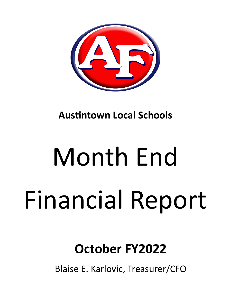

**Austintown Local Schools** 

# Month End Financial Report

# **October FY2022**

Blaise E. Karlovic, Treasurer/CFO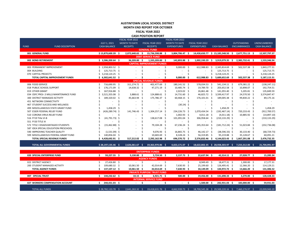#### **AUSTINTOWN LOCAL SCHOOL DISTRICT MONTH END REPORT FOR OCTOBER FISCAL YEAR 2022 CASH POSITION REPORT**

|             |                                         |    |                     |    | FISCAL YEAR 2022     |                                       |      | FISCAL YEAR 2022    |      |                                   |    |                                   |     |                                                   |    |                     |
|-------------|-----------------------------------------|----|---------------------|----|----------------------|---------------------------------------|------|---------------------|------|-----------------------------------|----|-----------------------------------|-----|---------------------------------------------------|----|---------------------|
|             |                                         |    | <b>JULY 1, 2021</b> |    | <b>MONTH TO DATE</b> | FISCAL YEAR 2022                      |      | MONTH TO DATE       |      | FISCAL YEAR 2022                  |    |                                   |     | <b>OUTSTANDING</b>                                |    | <b>UNENCUMBERED</b> |
| <b>FUND</b> | <b>FUND DESCRIPTION</b>                 |    | <b>CASH BALANCE</b> |    | <b>RECEIPTS</b>      | <b>RECEIPTS</b>                       |      | <b>EXPENDITURES</b> |      | <b>EXPENDITURES</b>               |    | <b>CASH BALANCE</b>               |     | <b>ENCUMBRANCES</b>                               |    | <b>CASH BALANCE</b> |
|             |                                         |    |                     |    |                      | <b>GENERAL FUND</b>                   |      |                     |      |                                   |    |                                   |     |                                                   |    |                     |
|             | 001 GENERAL FUND                        |    | $$13,879,600.39$ \$ |    |                      | 2,072,640.65 \$ 15,736,598.88 \$      |      | 3,804,706.47 \$     |      |                                   |    |                                   |     | 14,430,650.77 \$ 15,185,548.50 \$ 2,677,751.13 \$ |    | 12,507,797.37       |
|             |                                         |    |                     |    |                      | <b>DEBT SERVICE FUND</b>              |      |                     |      |                                   |    |                                   |     |                                                   |    |                     |
|             | 002 BOND RETIREMENT                     |    | \$3,586,200.64\$    |    | 36,209.00 \$         | 1,335,209.00 \$                       |      | 142,893.88 \$       |      |                                   |    |                                   |     | 1,002,330.29 \$ 3,919,079.35 \$ 2,385,732.41 \$   |    | 1,533,346.94        |
|             |                                         |    |                     |    |                      | <b>CAPITAL IMPROVEMENT FUNDS</b>      |      |                     |      |                                   |    |                                   |     |                                                   |    |                     |
|             | 003 PERMANENT IMPROVEMENT               |    | \$2,958,803.52\$    |    |                      | Ś.<br>$\blacksquare$                  | \$.  | $9,000.00$ \$       |      | 612,988.83 \$                     |    | 2,345,814.69 \$                   |     | 502,537.38 \$                                     |    | 1,843,277.31        |
|             | 004 BUILDING                            | Ś. | 125,713.75 \$       |    |                      |                                       |      |                     | \$   |                                   |    | 125,713.75 \$                     |     |                                                   | \$ | 125,713.75          |
|             | 070 CAPITAL PROJECTS                    |    | $$3,218,124.25$ \$  |    |                      |                                       |      |                     | Ś    |                                   | \$ | 3,218,124.25 \$                   |     |                                                   | \$ | 3,218,124.25        |
|             | TOTAL CAPITAL IMPROVEMENT FUNDS         |    | \$6,302,641.52\$    |    |                      |                                       |      | $9,000.00$ \$       |      | 612,988.83 \$                     |    | 5,689,652.69 \$                   |     | 502,537.38 \$                                     |    | 5,187,115.31        |
|             |                                         |    |                     |    |                      | <b>SPECIAL REVENUE FUNDS</b>          |      |                     |      |                                   |    |                                   |     |                                                   |    |                     |
|             | 006 FOOD SERVICE                        | \$ | 716,690.95 \$       |    | 311,274.72 \$        | 402,477.69 \$                         |      | 180,141.52 \$       |      | 578,034.53 \$                     |    | 541,134.11 \$                     |     | 679,381.22 \$                                     |    | (138, 247.11)       |
|             | 018 PUBLIC SCHOOL SUPPORT               |    | 176,171.09 \$       |    | 14,638.32 \$         | 47,271.19 \$                          |      | 10,485.74 \$        |      | 19,789.70 \$                      |    | 203,652.58 \$                     |     | 10,898.07 \$                                      |    | 192,754.51          |
|             | 019 OTHER GRANT                         |    | 167,916.88 \$       |    |                      | \$<br>$\overline{\phantom{a}}$        | .S   | 2,023.02 \$         |      | 26,861.48 \$                      |    | 141,055.40 \$                     |     | $5,205.81$ \$                                     |    | 135,849.59          |
|             | 034 OSFC PROJ-.5 MILLS MAINTENANCE FUND |    | 3,521,355.08 \$     |    | 3,888.61 \$          | 124,888.61 \$                         |      | 14,731.60 \$        |      | 46,825.72 \$                      |    | 3,599,417.97 \$                   |     | 24,570.50 \$                                      |    | 3,574,847.47        |
|             | 300 DISTRICT MANAGED ACTIVITY           |    | 189,320.02 \$       |    | 45,663.94 \$         | 175,786.37 \$                         |      | 60,468.15 \$        |      | 176,101.01 \$                     |    | 189,005.38 \$                     |     | 99,830.22 \$                                      |    | 89,175.16           |
|             | <b>451 NETWORK CONNECTIVITY</b>         |    |                     |    |                      | Ŝ                                     |      |                     | Ś.   |                                   |    |                                   | .S  |                                                   | Ś  |                     |
|             | 467 STUDENT SUCCESS AND WELLNESS        |    |                     |    |                      | S                                     |      | $(30.24)$ \$        |      |                                   |    |                                   | S,  |                                                   | Ś  |                     |
|             | 499 MISCELLANEOUS STATE GRANT FUND      |    | 1,458.29            |    |                      |                                       |      |                     | Ŝ    |                                   |    | 1,458.29 \$                       |     |                                                   |    | 1,458.29            |
|             | 507 ESSER FEDERAL RELIEF FUND           |    | $(426, 289.74)$ \$  |    | 141,746.43           | -Ś<br>1,304,257.14                    |      | 234,226.73          | - Ś  | 1,070,434.54                      |    | $(192, 467.14)$ \$                |     | 720,233.43 \$                                     |    | (912, 700.57)       |
|             | 510 CORONA VIRUS RELIEF FUND            |    |                     | -Ś |                      | Ś                                     |      | $1,002.93$ \$       |      | $4,011.18$ \$                     |    | $(4,011.18)$ \$                   |     | 10,885.92 \$                                      |    | (14,897.10)         |
|             | 516 FY19 Title VI-B                     |    | (41,791.73) \$      |    |                      | 138,617.08<br>Ś                       | - Ś  | 101,091.04 \$       |      | 306,958.64 \$                     |    | $(210, 133.29)$ \$                |     |                                                   | Ŝ  | (210, 133.29)       |
|             | 551 FY20 TITLE III                      |    |                     | .S |                      | Ś                                     |      |                     | Ś.   |                                   | Ŝ. |                                   | - Ś |                                                   | Ś. |                     |
|             | 572 TITLE I DISADVANTAGED STUDENTS      |    | $(15,462.88)$ \$    |    |                      | 79,104.28                             | - S  | 67,236.24           | - \$ | 245,353.64 \$                     |    | $(181, 712.24)$ \$                |     | $51,023.84$ \$                                    |    | (232, 736.08)       |
|             | 587 IDEA SPECIAL EDUCATION PRESCHOOL    |    |                     | -S |                      |                                       | S    |                     | Ŝ    |                                   | -S |                                   | -\$ |                                                   | Ŝ. |                     |
|             | 590 IMPROVING TEACHER QUALITY           |    | $(1,531.09)$ \$     |    |                      | $9,076.93$ \$                         |      | 16,865.75 \$        |      | 46,142.17 \$                      |    | $(38, 596.33)$ \$                 |     | 30,133.40 \$                                      |    | (68, 729.73)        |
|             | 599 MISCELLANEOUS FEDERAL GRANT FUND    |    | 140,856.04 \$       |    |                      | 10,683.69 \$                          |      | 8,328.24 \$         |      | 56,319.85 \$                      |    | 95,219.88 \$                      |     | 35,128.67 \$                                      |    | 60,091.21           |
|             | TOTAL SPECIAL REVENUE FUNDS             |    | 4,428,692.91 \$     |    | 517,212.02<br>- S    | 2,292,162.98 \$                       |      | 696,570.72 \$       |      | 2,576,832.46 \$                   |    | 4,144,023.43 \$                   |     | 1,667,291.08 \$                                   |    | 2,476,732.35        |
|             |                                         |    |                     |    |                      |                                       |      |                     |      |                                   |    |                                   |     |                                                   |    |                     |
|             | <b>TOTAL ALL GOVERNMENTAL FUNDS</b>     |    | $$28,197,135.46$ \$ |    | $2,626,061.67$ \$    | 19,363,970.86 \$                      |      | 4,653,171.07 \$     |      | 18,622,802.35 \$ 28,938,303.97 \$ |    |                                   |     | 7,233,312.00 \$                                   |    | 21,704,991.97       |
|             |                                         |    |                     |    |                      |                                       |      |                     |      |                                   |    |                                   |     |                                                   |    |                     |
|             |                                         |    |                     |    |                      | <b>ENTERPRISE FUNDS</b>               |      |                     |      |                                   |    |                                   |     |                                                   |    |                     |
|             | 020 SPECIAL ENTERPRISE FUND             | Ś. | 59,227.55 \$        |    | $5,130.00$ \$        | 5,724.50 \$                           |      | 2,137.73 \$         |      | 22,637.94 \$                      |    | 42,314.11 \$                      |     | 27,028.77 \$                                      |    | 15,285.34           |
|             |                                         |    |                     |    |                      | <b>AGENCY FUNDS</b>                   |      |                     |      |                                   |    |                                   |     |                                                   |    |                     |
|             | 022 DISTRICT AGENCY                     | Ś  | 27,426.80 \$        |    | $\sim$               | S.                                    | Ŝ.   | $\sim$              | S.   | 8,949.49 \$                       |    | 18,477.31 \$                      |     | 1,300.00 \$                                       |    | 17,177.31           |
|             | 200 STUDENT MANAGED ACTIVITY            | S  | 109,680.32 \$       |    | 10,061.50 \$         | 42,014.69 \$                          |      | 7,630.93 \$         |      | 25,199.60 \$                      |    | 126,495.41 \$                     |     | $12,366.20$ \$                                    |    | 114,129.21          |
|             | <b>TOTAL AGENCY FUNDS</b>               |    | 137,107.12 \$       |    | 10,061.50 \$         | 42,014.69 \$                          |      | 7,630.93 \$         |      | 34,149.09 \$                      |    | 144,972.72 \$                     |     | 13,666.20 \$                                      |    | 131,306.52          |
|             |                                         |    |                     |    |                      | <b>PRIVATE PURPOSE TRUST FUND</b>     |      |                     |      |                                   |    |                                   |     |                                                   |    |                     |
|             | 007 SPECIAL TRUST                       |    | \$144,232.62\$      |    | $10.15$ \$           | $6,921.71$ \$                         |      | $500.00$ \$         |      | 19,456.00 \$                      |    | 131,698.33 \$                     |     | $3,270.00$ \$                                     |    | 128,428.33          |
|             |                                         |    |                     |    |                      | <b>INTERNAL SERVICE FUND</b>          |      |                     |      |                                   |    |                                   |     |                                                   |    |                     |
|             | 027 WORKERS COMPENSATION ACCOUNT        |    | \$244,431.03\$      |    | $\sim$               | Ŝ.<br>$\mathbf{a}$ , and $\mathbf{a}$ | - \$ | $\sim$              | - \$ | $1,500.00$ \$                     |    | 242,931.03 \$                     |     | 183,000.00 \$                                     |    | 59,931.03           |
|             | <b>TOTAL ALL FUNDS</b>                  |    | $$28,782,133.78$ \$ |    | $2,641,263.32$ \$    | 19,418,631.76 \$                      |      | $4,662,939.73$ \$   |      |                                   |    | 18,700,545.38 \$ 29,500,220.16 \$ |     | 7,460,276.97 \$                                   |    | 22.039.943.19       |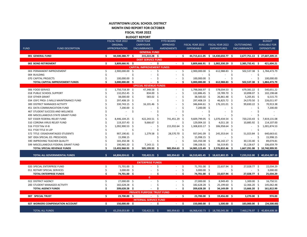| AUSTINTOWN LOCAL SCHOOL DISTRICT    |
|-------------------------------------|
| <b>MONTH END REPORT FOR OCTOBER</b> |

**FISCAL YEAR 2022 BUDGET REPORT**

|             |                                         |    | FISCAL YEAR 2022             |      | <b>PRIOR YEAR</b>                 |      | <b>FYTD BOARD</b>                         |      |                  |      |                                   |      |                               |         | <b>BUDGET</b>        |
|-------------|-----------------------------------------|----|------------------------------|------|-----------------------------------|------|-------------------------------------------|------|------------------|------|-----------------------------------|------|-------------------------------|---------|----------------------|
|             |                                         |    | <b>ORIGINAL</b>              |      | <b>CARRYOVER</b>                  |      | <b>APPROVED</b>                           |      | FISCAL YEAR 2022 |      | FISCAL YEAR 2022                  |      | <b>OUTSTANDING</b>            |         | <b>AVAILABLE FOR</b> |
| <b>FUND</b> | <b>FUND DESCRIPTION</b>                 |    | <b>APPROPRIATIONS</b>        |      | <b>ENCUMBRANCES</b>               |      | <b>AMENDMENTS</b>                         |      | EXPENDABLE       |      | <b>EXPENDITURES</b>               |      | <b>ENCUMBRANCES</b>           |         | <b>EXPENDITURE</b>   |
|             |                                         |    |                              |      | <b>GENERAL FUND</b>               |      |                                           |      |                  |      |                                   |      |                               |         |                      |
|             | 001 GENERAL FUND                        | Ś. | 44,500,388.77 \$             |      | 215,222.28 \$                     |      | $\sim$ $\sim$ $\sim$ $\sim$ $\sim$ $\sim$ |      |                  |      | 44,715,611.05 \$ 14,430,650.77 \$ |      | 2,677,751.13 \$ 27,607,209.15 |         |                      |
|             |                                         |    |                              |      | <b>DEBT SERVICE FUND</b>          |      |                                           |      |                  |      |                                   |      |                               |         |                      |
|             | 002 BOND RETIREMENT                     | \$ | $\overline{3,809,666.91}$ \$ |      | $-5$                              |      | $-5$                                      |      |                  |      | 3,809,666.91 \$ 1,002,330.29 \$   |      | 2,385,732.41 \$               |         | 421,604.21           |
|             |                                         |    |                              |      | <b>CAPITAL IMPROVEMENT FUNDS</b>  |      |                                           |      |                  |      |                                   |      |                               |         |                      |
|             | 003 PERMANENT IMPROVEMENT               | Ś  | 2,900,000.00                 | -Ś   |                                   | \$   | $\sim$                                    | \$   | 2,900,000.00     | - \$ | 612,988.83 \$                     |      | 502,537.38 \$                 |         | 1,784,473.79         |
|             | 004 BUILDING                            |    |                              |      |                                   |      |                                           | Ś    |                  | \$   |                                   | \$   |                               | Ś       |                      |
|             | 070 CAPITAL PROJECTS                    |    | 100,000.00                   | Ş    |                                   |      |                                           | \$   | 100,000.00       | - \$ |                                   | Ś    |                               |         | 100,000.00           |
|             | TOTAL CAPITAL IMPROVEMENT FUNDS         |    | 3,000,000.00 \$              |      |                                   |      |                                           |      | 3,000,000.00 \$  |      | 612,988.83 \$                     |      | 502,537.38                    | -S      | 1,884,473.79         |
|             |                                         |    |                              |      | <b>SPECIAL REVENUE FUNDS</b>      |      |                                           |      |                  |      |                                   |      |                               |         |                      |
|             | 006 FOOD SERVICE                        | \$ | 1,750,718.39 \$              |      | 47,348.58 \$                      |      |                                           | \$   | 1,798,066.97 \$  |      | 578,034.53 \$                     |      | 679,381.22 \$                 |         | 540,651.22           |
|             | 018 PUBLIC SCHOOL SUPPORT               |    | 132,052.45 \$                |      | 834.00                            | - \$ |                                           | Ś    | 132,886.45 \$    |      | 19,789.70 \$                      |      | 10,898.07 \$                  |         | 102,198.68           |
|             | 019 OTHER GRANT                         |    | 38,000.00                    | - \$ | 583.02                            | -Ś   |                                           |      | 38,583.02 \$     |      | 26,861.48                         | - \$ | $5,205.81$ \$                 |         | 6,515.73             |
|             | 034 OSFC PROJ-.5 MILLS MAINTENANCE FUND |    | 297,408.19 \$                |      |                                   | Ś    |                                           |      | 297,408.19 \$    |      | 46,825.72                         | - \$ | 24,570.50 \$                  |         | 226,011.97           |
|             | 300 DISTRICT MANAGED ACTIVITY           |    | 330,743.15 \$                |      | 16,101.46                         | S,   |                                           |      | 346,844.61 \$    |      | 176,101.01                        | - \$ | 99,830.22 \$                  |         | 70,913.38            |
|             | 451 DATA COMMUNICATION FUND             |    | 7,200.00 \$                  |      |                                   |      |                                           |      | 7,200.00         | -\$  |                                   | \$   |                               | \$      | 7,200.00             |
|             | 467 STUDENT SUCCESS AND WELLNESS        |    |                              | \$   |                                   |      |                                           |      |                  |      |                                   | \$   |                               |         |                      |
|             | 499 MISCELLANEOUS STATE GRANT FUND      |    |                              |      |                                   |      |                                           |      |                  |      |                                   |      |                               |         |                      |
|             | 507 ESSER FEDERAL RELIEF FUND           |    | 8,446,104.25                 | - \$ | 422,243.51                        | -S   | 741,451.29                                |      | 9,609,799.05     | S    | 1,070,434.54                      | Ś    | 720,233.43                    | -Ś      | 7,819,131.08         |
|             | 510 CORONA VIRUS RELIEF FUND            |    | 119,337.43 \$                |      | 9,666.67                          | -\$  |                                           |      | 129,004.10       | -Ś   | 4,011.18                          | -\$  | 10,885.92                     | -Ś      | 114,107.00           |
|             | 516 FY19 Title VI-B                     |    | 1,092,900.53 \$              |      |                                   | \$   | 215,932.64                                | -S   | 1,308,833.17 \$  |      | 306,958.64                        | -\$  | $\sim$                        | \$      | 1,001,874.53         |
|             | 551 FY20 TITLE III LEP                  |    |                              | Ŝ.   |                                   |      |                                           | Ś    |                  | Ŝ    |                                   | Ś    |                               | $\zeta$ |                      |
|             | 572 TITLE I DISADVANTAGED STUDENTS      |    | 907,190.81 \$                |      | 1,279.58                          | Ŝ    | 28,570.70                                 | Ŝ.   | 937,041.09       | - Ś  | 245,353.64                        | -\$  | 51,023.84                     | -Ś      | 640,663.61           |
|             | 587 IDEA SPECIAL ED. PRESCHOOL          |    | 15,998.15                    |      |                                   | Ś    |                                           |      | 15,998.15 \$     |      |                                   | Ś    |                               | -Ś      | 15,998.15            |
|             | 590 IMPROVING TEACHER QUALITY           |    | 165,350.38 \$                |      |                                   |      |                                           |      | 165,350.38 \$    |      | 46,142.17                         | - Ś  | 30,133.40 \$                  |         | 89,074.81            |
|             | 599 MISCELLANEOUS FEDERAL GRANT FUND    |    | 190,965.20 \$                |      | 7,143.11                          | -S   |                                           |      | 198,108.31 \$    |      | 56,319.85                         | - S  | 35,128.67 \$                  |         | 106,659.79           |
|             | TOTAL SPECIAL REVENUE FUNDS             |    | 13,493,968.93 \$             |      | 505,199.93 \$                     |      | 985,954.63                                | S    | 14,985,123.49    | - \$ | 2,576,832.46                      | - \$ | 1,667,291.08                  |         | \$10,740,999.95      |
|             |                                         |    |                              |      |                                   |      |                                           |      |                  |      |                                   |      |                               |         |                      |
|             | TOTAL ALL GOVERNMENTAL FUNDS            | Ŝ  | 64,804,024.61 \$             |      | 720,422.21 \$                     |      | 985,954.63 \$                             |      |                  |      | 66,510,401.45 \$ 18,622,802.35 \$ |      | 7,233,312.00 \$ 40,654,287.10 |         |                      |
|             |                                         |    |                              |      |                                   |      |                                           |      |                  |      |                                   |      |                               |         |                      |
|             |                                         |    |                              |      | <b>ENTERPRISE FUNDS</b>           |      |                                           |      |                  |      |                                   |      |                               |         |                      |
|             | 020 SPECIAL ENTERPRISE FUND             | \$ | 71,701.00 \$                 |      |                                   | \$   |                                           | \$   | 71,701.00 \$     |      | 22,637.94 \$                      |      | 27,028.77 \$                  |         | 22,034.29            |
|             | 011 ROTARY SPECIAL SERVICES             |    | $3,000.00$ \$                |      |                                   |      |                                           |      | 3,000.00 \$      |      |                                   | Ś    |                               | -Ś      | 3,000.00             |
|             | <b>TOTAL ENTERPRISE FUNDS</b>           | Ŝ  | 74,701.00 \$                 |      |                                   | Ś    |                                           | \$   | 74,701.00 \$     |      | 22,637.94 \$                      |      | 27,028.77 \$                  |         | 25,034.29            |
|             |                                         |    |                              |      | $\mathbf{0}$                      |      |                                           |      |                  |      |                                   |      |                               |         |                      |
|             | 022 DISTRICT AGENCY                     | \$ | 27,000.00 \$                 |      |                                   | \$   |                                           | \$   | 27,000.00 \$     |      | 8,949.49 \$                       |      | $1,300.00$ \$                 |         | 16,750.51            |
|             | 200 STUDENT MANAGED ACTIVITY            |    | 182,628.28 \$                |      |                                   |      |                                           | \$   | 182,628.28 \$    |      | 25,199.60 \$                      |      | $12,366.20$ \$                |         | 145,062.48           |
|             | <b>TOTAL AGENCY FUNDS</b>               |    | 209,628.28 \$                |      |                                   |      |                                           | \$   | 209,628.28 \$    |      | 34,149.09 \$                      |      | 13,666.20 \$                  |         | 161,812.99           |
|             |                                         |    |                              |      | <b>PRIVATE PURPOSE TRUST FUND</b> |      |                                           |      |                  |      |                                   |      |                               |         |                      |
|             | 007 SPECIAL TRUST                       | \$ | 23,700.00 \$                 |      | $-5$                              |      | $-5$                                      |      | 23,700.00 \$     |      | 19,456.00 \$                      |      | 3,270.00 \$                   |         | 974.00               |
|             |                                         |    |                              |      | <b>INTERNAL SERVICE FUND</b>      |      |                                           |      |                  |      |                                   |      |                               |         |                      |
|             | 027 WORKERS COMPENSATION ACCOUNT        | \$ | 150,000.00 \$                |      | $-5$                              |      | $\sim 100$                                | - \$ | 150,000.00 \$    |      | $1,500.00$ \$                     |      | 183,000.00 \$                 |         | (34,500.00)          |
|             |                                         |    |                              |      |                                   |      |                                           |      |                  |      |                                   |      |                               |         |                      |
|             | <b>TOTAL ALL FUNDS</b>                  | Ŝ. | 65,259,053.89 \$             |      | 720,422.21 \$                     |      | 985,954.63 \$                             |      |                  |      | 66,968,430.73 \$ 18,700,545.38 \$ |      | 7,460,276.97 \$ 40,804,608.38 |         |                      |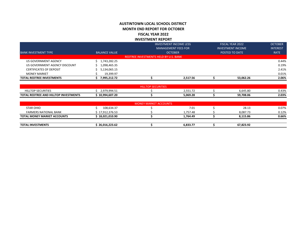## **AUSTINTOWN LOCAL SCHOOL DISTRICT MONTH END REPORT FOR OCTOBER FISCAL YEAR 2022 INVESTMENT REPORT**

|                                  |                      |                                       | <b>INVESTMENT INCOME LESS</b> | <b>FISCAL YEAR 2022</b>  | <b>OCTOBER</b>  |
|----------------------------------|----------------------|---------------------------------------|-------------------------------|--------------------------|-----------------|
|                                  |                      |                                       | <b>MANAGEMENT FEES FOR</b>    | <b>INVESTMENT INCOME</b> | <b>INTEREST</b> |
| <b>BANK INVESTMENT TYPE</b>      | <b>BALANCE VALUE</b> |                                       | <b>OCTOBER</b>                | POSTED TO DATE           | <b>RATE</b>     |
|                                  |                      | REDTREE INVESTMENTS HELD BY U.S. BANK |                               |                          |                 |
| US GOVERNMENT AGENCY             | 1,743,282.25         |                                       |                               |                          | 0.44%           |
| US GOVERNMENT AGENCY DISCOUNT    | 1,098,465.35         |                                       |                               |                          | 0.19%           |
| <b>CERTIFICATES OF DEPOSIT</b>   | 5,134,065.15         |                                       |                               |                          | 2.41%           |
| <b>MONEY MARKET</b>              | 19.399.97            |                                       |                               |                          | 0.01%           |
| <b>TOTAL REDTREE INVESTMENTS</b> | 7,995,212.72         |                                       | 2.517.56                      | 53,062.26                | 2.06%           |
|                                  |                      |                                       |                               |                          |                 |
|                                  |                      |                                       |                               |                          |                 |

|                                                   |               | RITIES<br>. |                                  |           |       |
|---------------------------------------------------|---------------|-------------|----------------------------------|-----------|-------|
| <b>SECURITIES</b><br>HILLTOP                      | 2,979,994.51  |             | $\sim$ $\sim$<br><u>2.JJI.IZ</u> | 6.645.80  | 0.43% |
| <b>TOTAL</b><br>L REDTREE AND HILLTOP INVESTMENTS | 10,994,607.20 |             | 5,069.28                         | 59,708.06 | 2.03% |

|                                    |               | <b>MONEY MARKET ACCOUNTS</b> |          |           |       |
|------------------------------------|---------------|------------------------------|----------|-----------|-------|
| <b>STAR OHIO</b>                   | 108,634.37    |                              | 7.01     | 28.13     | 0.07% |
| <b>FARMERS NATIONAL BANK</b>       | 17,912,376.53 |                              | 1.757.48 | 8,087.73  | 0.12% |
| <b>TOTAL MONEY MARKET ACCOUNTS</b> | 18,021,010.90 |                              | 1,764.49 | 8,115.86  | 0.66% |
|                                    |               |                              |          |           |       |
| <b>TOTAL INVESTMENTS</b>           | 26,016,223.62 |                              | 6.833.77 | 67,823.92 |       |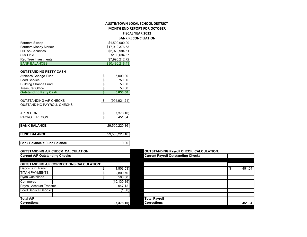### **AUSTINTOWN LOCAL SCHOOL DISTRICT MONTH END REPORT FOR OCTOBER**

**FISCAL YEAR 2022**

**BANK RECONCILIATION**

|                                                                   |    |                 | <b>DAIVIN INCLUSIVEIRTIUM</b> |                                               |              |
|-------------------------------------------------------------------|----|-----------------|-------------------------------|-----------------------------------------------|--------------|
| <b>Farmers Sweep</b>                                              |    | \$1,500,000.00  |                               |                                               |              |
| Farmers Money Market                                              |    | \$17,912,376.53 |                               |                                               |              |
| <b>HillTop Securities</b>                                         |    | \$2,979,994.51  |                               |                                               |              |
| Star Ohio                                                         |    | \$108,634.67    |                               |                                               |              |
| <b>Red Tree Investments</b>                                       |    | \$7,995,212.72  |                               |                                               |              |
| <b>BANK BALANCES</b>                                              |    | \$30,496,218.43 |                               |                                               |              |
| <b>OUTSTANDING PETTY CASH</b>                                     |    |                 |                               |                                               |              |
| <b>Athletics Change Fund</b>                                      | S  | 5,000.00        |                               |                                               |              |
| <b>Food Service</b>                                               | \$ | 750.00          |                               |                                               |              |
| <b>Building Change Fund</b>                                       | S  | 50.00           |                               |                                               |              |
| <b>Treasurer Office</b>                                           | \$ | 50.00           |                               |                                               |              |
| <b>Outstanding Petty Cash</b>                                     | \$ | 5,850.00        |                               |                                               |              |
| <b>OUTSTANDING A/P CHECKS</b><br><b>OUSTANDING PAYROLL CHECKS</b> | \$ | (994, 921.21)   |                               |                                               |              |
| AP RECON                                                          | \$ | (7,378.10)      |                               |                                               |              |
| PAYROLL RECON                                                     | \$ | 451.04          |                               |                                               |              |
| <b>BANK BALANCE</b>                                               |    | 29,500,220.16   |                               |                                               |              |
| <b>FUND BALANCE</b>                                               |    | 29,500,220.16   |                               |                                               |              |
| <b>Bank Balance = Fund Balance</b>                                |    | 0.00            |                               |                                               |              |
| <b>OUTSTANDING A/P CHECK CALCULATION:</b>                         |    |                 |                               | <b>OUTSTANDING Payroll CHECK CALCULATION:</b> |              |
| <b>Current A/P Outstanding Checks</b>                             |    |                 |                               | <b>Current Payroll Outstanding Checks</b>     |              |
| <b>OUTSTANDING A/P CORRECTIONS CALCULATION:</b>                   |    |                 |                               |                                               |              |
| Deposits in Transit                                               | \$ | (1,503.53)      |                               |                                               | \$<br>451.04 |
| <b>TITAN PAYMENTS</b>                                             | \$ | 2,809.70        |                               |                                               |              |
| Ryan Castellano                                                   | \$ | 500.00          |                               |                                               |              |
| Commerce                                                          |    | (10, 130.39)    |                               |                                               |              |
| <b>Payroll Account Transfer</b>                                   |    | 947.12          |                               |                                               |              |
| <b>Food Service Deposit</b>                                       |    | (1.00)          |                               |                                               |              |
|                                                                   |    |                 |                               |                                               |              |
| <b>Total A/P</b>                                                  |    |                 | <b>Total Payroll</b>          |                                               |              |

**Corrections (7,378.10)**

### **OUTSTANDING Payroll CHECK CALCULATION:**

| <b>Current Payroll Outstanding Checks</b> |  |              |
|-------------------------------------------|--|--------------|
|                                           |  |              |
|                                           |  |              |
|                                           |  | \$<br>451.04 |
|                                           |  |              |
|                                           |  |              |
|                                           |  |              |
|                                           |  |              |
|                                           |  |              |
|                                           |  |              |
| <b>Total Payroll</b>                      |  |              |
| <b>Corrections</b>                        |  | 451.04       |